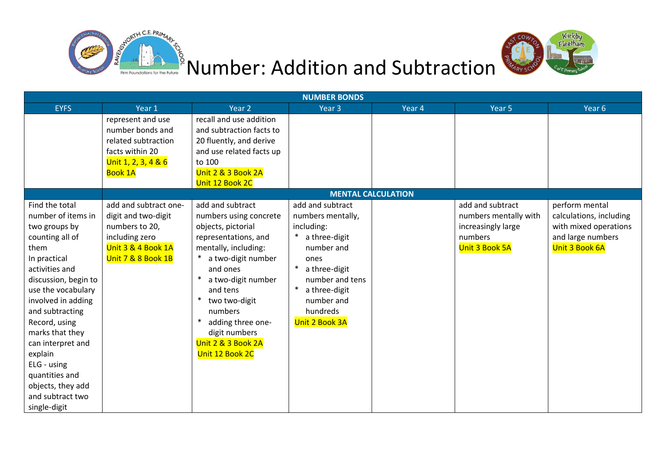



| <b>NUMBER BONDS</b>  |                       |                          |                           |        |                       |                         |  |
|----------------------|-----------------------|--------------------------|---------------------------|--------|-----------------------|-------------------------|--|
| <b>EYFS</b>          | Year 1                | Year <sub>2</sub>        | Year <sub>3</sub>         | Year 4 | Year <sub>5</sub>     | Year <sub>6</sub>       |  |
|                      | represent and use     | recall and use addition  |                           |        |                       |                         |  |
|                      | number bonds and      | and subtraction facts to |                           |        |                       |                         |  |
|                      | related subtraction   | 20 fluently, and derive  |                           |        |                       |                         |  |
|                      | facts within 20       | and use related facts up |                           |        |                       |                         |  |
|                      | Unit 1, 2, 3, 4 & 6   | to 100                   |                           |        |                       |                         |  |
|                      | <b>Book 1A</b>        | Unit 2 & 3 Book 2A       |                           |        |                       |                         |  |
|                      |                       | Unit 12 Book 2C          |                           |        |                       |                         |  |
|                      |                       |                          | <b>MENTAL CALCULATION</b> |        |                       |                         |  |
| Find the total       | add and subtract one- | add and subtract         | add and subtract          |        | add and subtract      | perform mental          |  |
| number of items in   | digit and two-digit   | numbers using concrete   | numbers mentally,         |        | numbers mentally with | calculations, including |  |
| two groups by        | numbers to 20,        | objects, pictorial       | including:                |        | increasingly large    | with mixed operations   |  |
| counting all of      | including zero        | representations, and     | a three-digit             |        | numbers               | and large numbers       |  |
| them                 | Unit 3 & 4 Book 1A    | mentally, including:     | number and                |        | Unit 3 Book 5A        | Unit 3 Book 6A          |  |
| In practical         | Unit 7 & 8 Book 1B    | a two-digit number       | ones                      |        |                       |                         |  |
| activities and       |                       | and ones                 | * a three-digit           |        |                       |                         |  |
| discussion, begin to |                       | a two-digit number       | number and tens           |        |                       |                         |  |
| use the vocabulary   |                       | and tens                 | $\ast$<br>a three-digit   |        |                       |                         |  |
| involved in adding   |                       | two two-digit            | number and                |        |                       |                         |  |
| and subtracting      |                       | numbers                  | hundreds                  |        |                       |                         |  |
| Record, using        |                       | adding three one-        | Unit 2 Book 3A            |        |                       |                         |  |
| marks that they      |                       | digit numbers            |                           |        |                       |                         |  |
| can interpret and    |                       | Unit 2 & 3 Book 2A       |                           |        |                       |                         |  |
| explain              |                       | Unit 12 Book 2C          |                           |        |                       |                         |  |
| ELG - using          |                       |                          |                           |        |                       |                         |  |
| quantities and       |                       |                          |                           |        |                       |                         |  |
| objects, they add    |                       |                          |                           |        |                       |                         |  |
| and subtract two     |                       |                          |                           |        |                       |                         |  |
| single-digit         |                       |                          |                           |        |                       |                         |  |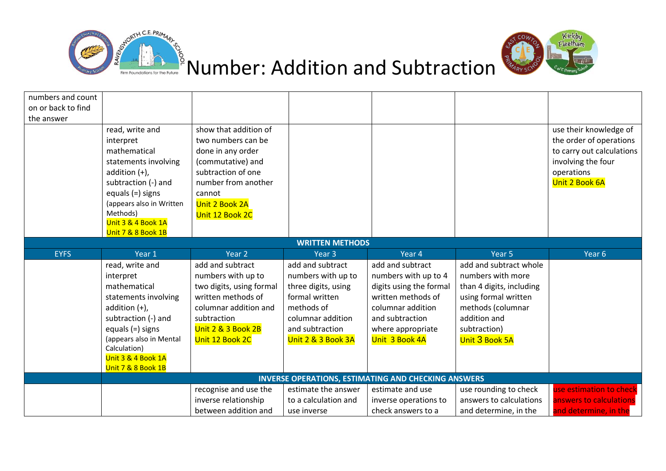



| numbers and count                |                                                                                                                                                                                                                              |                                                                                                                                                                                   |                                                                                                                                                             |                                                                                                                                                                          |                                                                                                                                                                        |                                                                                                                                      |  |
|----------------------------------|------------------------------------------------------------------------------------------------------------------------------------------------------------------------------------------------------------------------------|-----------------------------------------------------------------------------------------------------------------------------------------------------------------------------------|-------------------------------------------------------------------------------------------------------------------------------------------------------------|--------------------------------------------------------------------------------------------------------------------------------------------------------------------------|------------------------------------------------------------------------------------------------------------------------------------------------------------------------|--------------------------------------------------------------------------------------------------------------------------------------|--|
| on or back to find<br>the answer |                                                                                                                                                                                                                              |                                                                                                                                                                                   |                                                                                                                                                             |                                                                                                                                                                          |                                                                                                                                                                        |                                                                                                                                      |  |
|                                  | read, write and<br>interpret<br>mathematical<br>statements involving<br>addition $(+)$ ,<br>subtraction (-) and<br>equals $(=)$ signs<br>(appears also in Written<br>Methods)                                                | show that addition of<br>two numbers can be<br>done in any order<br>(commutative) and<br>subtraction of one<br>number from another<br>cannot<br>Unit 2 Book 2A<br>Unit 12 Book 2C |                                                                                                                                                             |                                                                                                                                                                          |                                                                                                                                                                        | use their knowledge of<br>the order of operations<br>to carry out calculations<br>involving the four<br>operations<br>Unit 2 Book 6A |  |
|                                  | Unit 3 & 4 Book 1A<br>Unit 7 & 8 Book 1B                                                                                                                                                                                     |                                                                                                                                                                                   |                                                                                                                                                             |                                                                                                                                                                          |                                                                                                                                                                        |                                                                                                                                      |  |
|                                  |                                                                                                                                                                                                                              |                                                                                                                                                                                   | <b>WRITTEN METHODS</b>                                                                                                                                      |                                                                                                                                                                          |                                                                                                                                                                        |                                                                                                                                      |  |
| <b>EYFS</b>                      | Year 1                                                                                                                                                                                                                       | Year <sub>2</sub>                                                                                                                                                                 | Year <sub>3</sub>                                                                                                                                           | Year 4                                                                                                                                                                   | Year 5                                                                                                                                                                 | Year 6                                                                                                                               |  |
|                                  | read, write and<br>interpret<br>mathematical<br>statements involving<br>addition $(+)$ ,<br>subtraction (-) and<br>equals $(=)$ signs<br>(appears also in Mental<br>Calculation)<br>Unit 3 & 4 Book 1A<br>Unit 7 & 8 Book 1B | add and subtract<br>numbers with up to<br>two digits, using formal<br>written methods of<br>columnar addition and<br>subtraction<br>Unit 2 & 3 Book 2B<br>Unit 12 Book 2C         | add and subtract<br>numbers with up to<br>three digits, using<br>formal written<br>methods of<br>columnar addition<br>and subtraction<br>Unit 2 & 3 Book 3A | add and subtract<br>numbers with up to 4<br>digits using the formal<br>written methods of<br>columnar addition<br>and subtraction<br>where appropriate<br>Unit 3 Book 4A | add and subtract whole<br>numbers with more<br>than 4 digits, including<br>using formal written<br>methods (columnar<br>addition and<br>subtraction)<br>Unit 3 Book 5A |                                                                                                                                      |  |
|                                  | <b>INVERSE OPERATIONS, ESTIMATING AND CHECKING ANSWERS</b>                                                                                                                                                                   |                                                                                                                                                                                   |                                                                                                                                                             |                                                                                                                                                                          |                                                                                                                                                                        |                                                                                                                                      |  |
|                                  |                                                                                                                                                                                                                              | recognise and use the                                                                                                                                                             | estimate the answer                                                                                                                                         | estimate and use                                                                                                                                                         | use rounding to check                                                                                                                                                  | use estimation to check                                                                                                              |  |
|                                  |                                                                                                                                                                                                                              | inverse relationship<br>between addition and                                                                                                                                      | to a calculation and<br>use inverse                                                                                                                         | inverse operations to<br>check answers to a                                                                                                                              | answers to calculations<br>and determine, in the                                                                                                                       | answers to calculations<br>and determine, in the                                                                                     |  |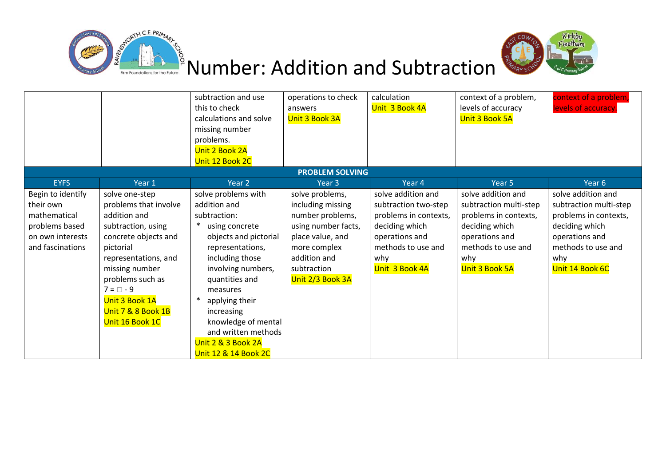



|                   |                       | subtraction and use    | operations to check    | calculation           | context of a problem,  | context of a problem,  |
|-------------------|-----------------------|------------------------|------------------------|-----------------------|------------------------|------------------------|
|                   |                       | this to check          | answers                | Unit 3 Book 4A        | levels of accuracy     | levels of accuracy.    |
|                   |                       | calculations and solve | Unit 3 Book 3A         |                       | Unit 3 Book 5A         |                        |
|                   |                       | missing number         |                        |                       |                        |                        |
|                   |                       | problems.              |                        |                       |                        |                        |
|                   |                       | Unit 2 Book 2A         |                        |                       |                        |                        |
|                   |                       | Unit 12 Book 2C        |                        |                       |                        |                        |
|                   |                       |                        | <b>PROBLEM SOLVING</b> |                       |                        |                        |
| <b>EYFS</b>       | Year 1                | Year 2                 | Year <sub>3</sub>      | Year 4                | Year 5                 | Year <sub>6</sub>      |
| Begin to identify | solve one-step        | solve problems with    | solve problems,        | solve addition and    | solve addition and     | solve addition and     |
| their own         | problems that involve | addition and           | including missing      | subtraction two-step  | subtraction multi-step | subtraction multi-step |
| mathematical      | addition and          | subtraction:           | number problems,       | problems in contexts, | problems in contexts,  | problems in contexts,  |
| problems based    | subtraction, using    | using concrete         | using number facts,    | deciding which        | deciding which         | deciding which         |
| on own interests  | concrete objects and  | objects and pictorial  | place value, and       | operations and        | operations and         | operations and         |
| and fascinations  | pictorial             | representations,       | more complex           | methods to use and    | methods to use and     | methods to use and     |
|                   | representations, and  | including those        | addition and           | why                   | why                    | why                    |
|                   | missing number        | involving numbers,     | subtraction            | Unit 3 Book 4A        | <b>Unit 3 Book 5A</b>  | Unit 14 Book 6C        |
|                   | problems such as      | quantities and         | Unit 2/3 Book 3A       |                       |                        |                        |
|                   | $7 = \Box - 9$        | measures               |                        |                       |                        |                        |
|                   | Unit 3 Book 1A        | applying their         |                        |                       |                        |                        |
|                   | Unit 7 & 8 Book 1B    | increasing             |                        |                       |                        |                        |
|                   | Unit 16 Book 1C       | knowledge of mental    |                        |                       |                        |                        |
|                   |                       | and written methods    |                        |                       |                        |                        |
|                   |                       | Unit 2 & 3 Book 2A     |                        |                       |                        |                        |
|                   |                       | Unit 12 & 14 Book 2C   |                        |                       |                        |                        |